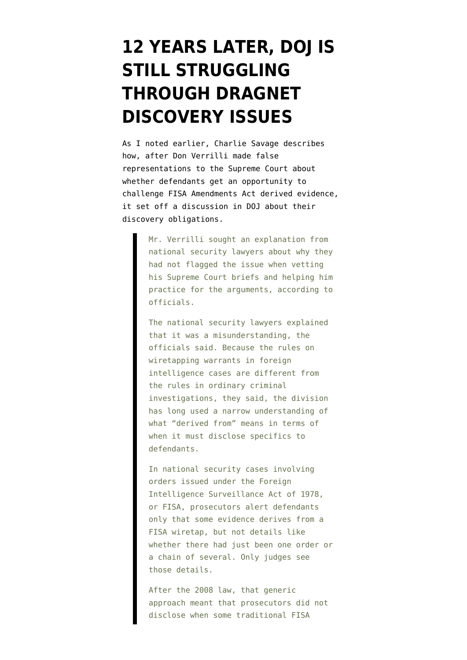## **[12 YEARS LATER, DOJ IS](https://www.emptywheel.net/2013/10/17/12-years-later-doj-is-still-struggling-through-dragnet-discovery-issues/) [STILL STRUGGLING](https://www.emptywheel.net/2013/10/17/12-years-later-doj-is-still-struggling-through-dragnet-discovery-issues/) [THROUGH DRAGNET](https://www.emptywheel.net/2013/10/17/12-years-later-doj-is-still-struggling-through-dragnet-discovery-issues/) [DISCOVERY ISSUES](https://www.emptywheel.net/2013/10/17/12-years-later-doj-is-still-struggling-through-dragnet-discovery-issues/)**

As I noted earlier, Charlie Savage [describes](http://www.nytimes.com/2013/10/17/us/politics/us-legal-shift-may-open-door-for-challenge-to-secret-wiretaps.html?_r=1&hp=&adxnnl=1&pagewanted=all&adxnnlx=1382040720-mtZGCMJZgKzdwORFIKxksQ) how, after Don Verrilli made false representations to the Supreme Court about whether defendants get an opportunity to challenge FISA Amendments Act derived evidence, it set off a discussion in DOJ about their discovery obligations.

> Mr. Verrilli sought an explanation from national security lawyers about why they had not flagged the issue when vetting his Supreme Court briefs and helping him practice for the arguments, according to officials.

The national security lawyers explained that it was a misunderstanding, the officials said. Because the rules on wiretapping warrants in foreign intelligence cases are different from the rules in ordinary criminal investigations, they said, the division has long used a narrow understanding of what "derived from" means in terms of when it must disclose specifics to defendants.

In national security cases involving orders issued under the Foreign Intelligence Surveillance Act of 1978, or FISA, prosecutors alert defendants only that some evidence derives from a FISA wiretap, but not details like whether there had just been one order or a chain of several. Only judges see those details.

After the 2008 law, that generic approach meant that prosecutors did not disclose when some traditional FISA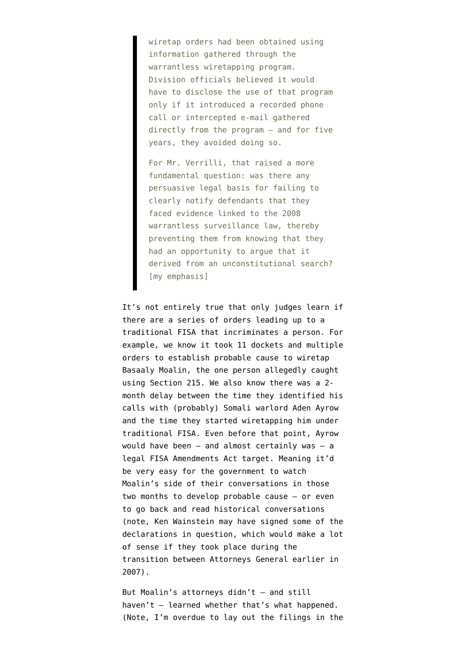wiretap orders had been obtained using information gathered through the warrantless wiretapping program. Division officials believed it would have to disclose the use of that program only if it introduced a recorded phone call or intercepted e-mail gathered directly from the program — and for five years, they avoided doing so.

For Mr. Verrilli, that raised a more fundamental question: was there any persuasive legal basis for failing to clearly notify defendants that they faced evidence linked to the 2008 warrantless surveillance law, thereby preventing them from knowing that they had an opportunity to argue that it derived from an unconstitutional search? [my emphasis]

It's not entirely true that only judges learn if there are a series of orders leading up to a traditional FISA that incriminates a person. For example, we know [it took 11 dockets and multiple](http://www.emptywheel.net/2013/07/16/the-8-fisa-judge-11-docket-spying-authorization-to-identify-less-than-10000-to-al-shabaab/) [orders](http://www.emptywheel.net/2013/07/16/the-8-fisa-judge-11-docket-spying-authorization-to-identify-less-than-10000-to-al-shabaab/) to establish probable cause to wiretap Basaaly Moalin, the one person allegedly caught using Section 215. We also know there was a [2](http://www.emptywheel.net/2013/08/09/nsa-speak-timely-adj-2-month-delay/) [month delay](http://www.emptywheel.net/2013/08/09/nsa-speak-timely-adj-2-month-delay/) between the time they identified his calls with (probably) Somali warlord Aden Ayrow and the time they started wiretapping him under traditional FISA. Even before that point, Ayrow would have been  $-$  and almost certainly was  $-$  a legal FISA Amendments Act target. Meaning it'd be very easy for the government to watch Moalin's side of their conversations in those two months to develop probable cause — or even to go back and read historical conversations (note, Ken Wainstein may have signed some of the declarations in question, which would make a lot of sense if they took place during the transition between Attorneys General earlier in 2007).

But Moalin's attorneys didn't — and still haven't — learned whether that's what happened. (Note, I'm overdue to lay out the filings in the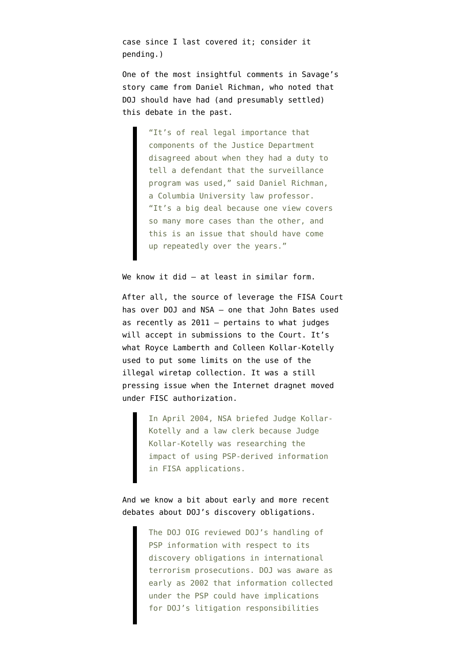case since I [last covered it](http://www.emptywheel.net/2013/08/09/nsa-speak-timely-adj-2-month-delay/); consider it pending.)

One of the most insightful comments in Savage's story came from Daniel Richman, who noted that DOJ should have had (and presumably settled) this debate in the past.

> "It's of real legal importance that components of the Justice Department disagreed about when they had a duty to tell a defendant that the surveillance program was used," said Daniel Richman, a Columbia University law professor. "It's a big deal because one view covers so many more cases than the other, and this is an issue that should have come up repeatedly over the years."

We know it did – at least in similar form.

After all, the source of leverage the FISA Court has over DOJ and NSA — one that [John Bates used](http://www.emptywheel.net/2013/08/05/us-justice-a-rotting-tree-of-poisonous-fruit/) [as recently as 2011](http://www.emptywheel.net/2013/08/05/us-justice-a-rotting-tree-of-poisonous-fruit/) — pertains to what judges will accept in submissions to the Court. It's what Royce Lamberth and Colleen Kollar-Kotelly used to put some limits on the use of the illegal wiretap collection. It was a [still](https://www.aclu.org/files/natsec/nsa/20130816/NSA%20IG%20Report.pdf) [pressing issue](https://www.aclu.org/files/natsec/nsa/20130816/NSA%20IG%20Report.pdf) when the Internet dragnet moved under FISC authorization.

> In April 2004, NSA briefed Judge Kollar-Kotelly and a law clerk because Judge Kollar-Kotelly was researching the impact of using PSP-derived information in FISA applications.

And we know a bit about [early and more recent](https://www.fas.org/irp/eprint/psp.pdf) [debates](https://www.fas.org/irp/eprint/psp.pdf) about DOJ's discovery obligations.

> The DOJ OIG reviewed DOJ's handling of PSP information with respect to its discovery obligations in international terrorism prosecutions. DOJ was aware as early as 2002 that information collected under the PSP could have implications for DOJ's litigation responsibilities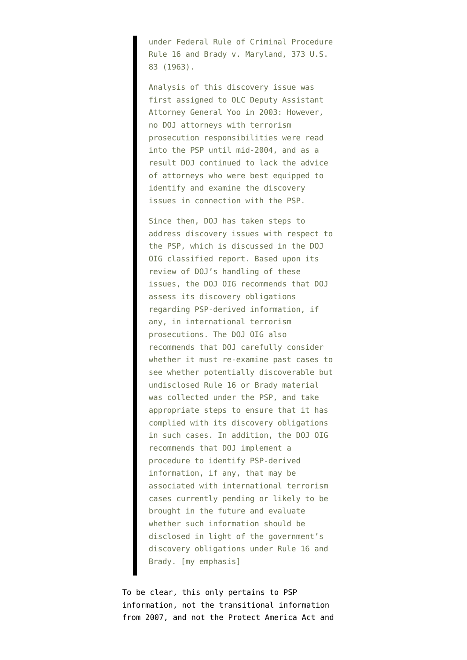under Federal Rule of Criminal Procedure Rule 16 and Brady v. Maryland, 373 U.S. 83 (1963).

Analysis of this discovery issue was first assigned to OLC Deputy Assistant Attorney General Yoo in 2003: However, no DOJ attorneys with terrorism prosecution responsibilities were read into the PSP until mid-2004, and as a result DOJ continued to lack the advice of attorneys who were best equipped to identify and examine the discovery issues in connection with the PSP.

Since then, DOJ has taken steps to address discovery issues with respect to the PSP, which is discussed in the DOJ OIG classified report. Based upon its review of DOJ's handling of these issues, the DOJ OIG recommends that DOJ assess its discovery obligations regarding PSP-derived information, if any, in international terrorism prosecutions. The DOJ OIG also recommends that DOJ carefully consider whether it must re-examine past cases to see whether potentially discoverable but undisclosed Rule 16 or Brady material was collected under the PSP, and take appropriate steps to ensure that it has complied with its discovery obligations in such cases. In addition, the DOJ OIG recommends that DOJ implement a procedure to identify PSP-derived information, if any, that may be associated with international terrorism cases currently pending or likely to be brought in the future and evaluate whether such information should be disclosed in light of the government's discovery obligations under Rule 16 and Brady. [my emphasis]

To be clear, this only pertains to PSP information, not the transitional information from 2007, and not the Protect America Act and